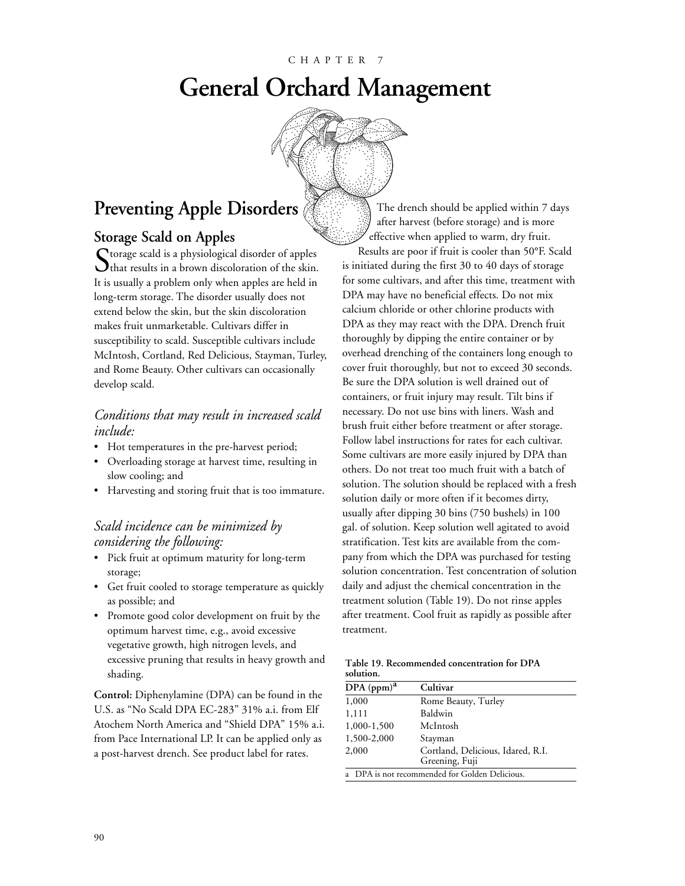# **General Orchard Management**



## **Preventing Apple Disorders**

#### **Storage Scald on Apples**

Storage scald is a physiological disorder of apples  $\bigcup$  that results in a brown discoloration of the skin. It is usually a problem only when apples are held in long-term storage. The disorder usually does not extend below the skin, but the skin discoloration makes fruit unmarketable. Cultivars differ in susceptibility to scald. Susceptible cultivars include McIntosh, Cortland, Red Delicious, Stayman, Turley, and Rome Beauty. Other cultivars can occasionally develop scald.

#### *Conditions that may result in increased scald include:*

- Hot temperatures in the pre-harvest period;
- Overloading storage at harvest time, resulting in slow cooling; and
- Harvesting and storing fruit that is too immature.

#### *Scald incidence can be minimized by considering the following:*

- Pick fruit at optimum maturity for long-term storage;
- Get fruit cooled to storage temperature as quickly as possible; and
- Promote good color development on fruit by the optimum harvest time, e.g., avoid excessive vegetative growth, high nitrogen levels, and excessive pruning that results in heavy growth and shading.

**Control:** Diphenylamine (DPA) can be found in the U.S. as "No Scald DPA EC-283" 31% a.i. from Elf Atochem North America and "Shield DPA" 15% a.i. from Pace International LP. It can be applied only as a post-harvest drench. See product label for rates.

The drench should be applied within 7 days after harvest (before storage) and is more effective when applied to warm, dry fruit. Results are poor if fruit is cooler than 50°F. Scald is initiated during the first 30 to 40 days of storage for some cultivars, and after this time, treatment with DPA may have no beneficial effects. Do not mix calcium chloride or other chlorine products with DPA as they may react with the DPA. Drench fruit thoroughly by dipping the entire container or by overhead drenching of the containers long enough to cover fruit thoroughly, but not to exceed 30 seconds. Be sure the DPA solution is well drained out of containers, or fruit injury may result. Tilt bins if necessary. Do not use bins with liners. Wash and brush fruit either before treatment or after storage. Follow label instructions for rates for each cultivar. Some cultivars are more easily injured by DPA than others. Do not treat too much fruit with a batch of solution. The solution should be replaced with a fresh solution daily or more often if it becomes dirty, usually after dipping 30 bins (750 bushels) in 100 gal. of solution. Keep solution well agitated to avoid stratification. Test kits are available from the company from which the DPA was purchased for testing solution concentration. Test concentration of solution daily and adjust the chemical concentration in the treatment solution (Table 19). Do not rinse apples after treatment. Cool fruit as rapidly as possible after treatment.

**Table 19. Recommended concentration for DPA solution.**

| DPA (ppm) <sup>2</sup> | Cultivar                                            |  |  |
|------------------------|-----------------------------------------------------|--|--|
| 1,000                  | Rome Beauty, Turley                                 |  |  |
| 1,111                  | Baldwin                                             |  |  |
| 1,000-1,500            | McIntosh                                            |  |  |
| 1,500-2,000            | Stayman                                             |  |  |
| 2,000                  | Cortland, Delicious, Idared, R.I.<br>Greening, Fuji |  |  |
|                        | a DPA is not recommended for Golden Delicious.      |  |  |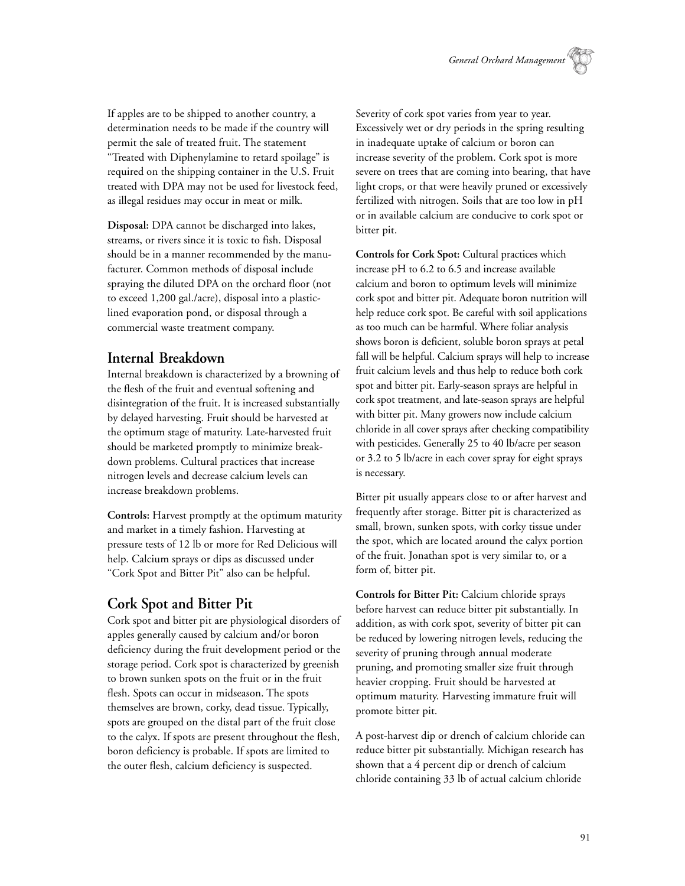If apples are to be shipped to another country, a determination needs to be made if the country will permit the sale of treated fruit. The statement "Treated with Diphenylamine to retard spoilage" is required on the shipping container in the U.S. Fruit treated with DPA may not be used for livestock feed, as illegal residues may occur in meat or milk.

**Disposal:** DPA cannot be discharged into lakes, streams, or rivers since it is toxic to fish. Disposal should be in a manner recommended by the manufacturer. Common methods of disposal include spraying the diluted DPA on the orchard floor (not to exceed 1,200 gal./acre), disposal into a plasticlined evaporation pond, or disposal through a commercial waste treatment company.

#### **Internal Breakdown**

Internal breakdown is characterized by a browning of the flesh of the fruit and eventual softening and disintegration of the fruit. It is increased substantially by delayed harvesting. Fruit should be harvested at the optimum stage of maturity. Late-harvested fruit should be marketed promptly to minimize breakdown problems. Cultural practices that increase nitrogen levels and decrease calcium levels can increase breakdown problems.

**Controls:** Harvest promptly at the optimum maturity and market in a timely fashion. Harvesting at pressure tests of 12 lb or more for Red Delicious will help. Calcium sprays or dips as discussed under "Cork Spot and Bitter Pit" also can be helpful.

## **Cork Spot and Bitter Pit**

Cork spot and bitter pit are physiological disorders of apples generally caused by calcium and/or boron deficiency during the fruit development period or the storage period. Cork spot is characterized by greenish to brown sunken spots on the fruit or in the fruit flesh. Spots can occur in midseason. The spots themselves are brown, corky, dead tissue. Typically, spots are grouped on the distal part of the fruit close to the calyx. If spots are present throughout the flesh, boron deficiency is probable. If spots are limited to the outer flesh, calcium deficiency is suspected.

Severity of cork spot varies from year to year. Excessively wet or dry periods in the spring resulting in inadequate uptake of calcium or boron can increase severity of the problem. Cork spot is more severe on trees that are coming into bearing, that have light crops, or that were heavily pruned or excessively fertilized with nitrogen. Soils that are too low in pH or in available calcium are conducive to cork spot or bitter pit.

**Controls for Cork Spot:** Cultural practices which increase pH to 6.2 to 6.5 and increase available calcium and boron to optimum levels will minimize cork spot and bitter pit. Adequate boron nutrition will help reduce cork spot. Be careful with soil applications as too much can be harmful. Where foliar analysis shows boron is deficient, soluble boron sprays at petal fall will be helpful. Calcium sprays will help to increase fruit calcium levels and thus help to reduce both cork spot and bitter pit. Early-season sprays are helpful in cork spot treatment, and late-season sprays are helpful with bitter pit. Many growers now include calcium chloride in all cover sprays after checking compatibility with pesticides. Generally 25 to 40 lb/acre per season or 3.2 to 5 lb/acre in each cover spray for eight sprays is necessary.

Bitter pit usually appears close to or after harvest and frequently after storage. Bitter pit is characterized as small, brown, sunken spots, with corky tissue under the spot, which are located around the calyx portion of the fruit. Jonathan spot is very similar to, or a form of, bitter pit.

**Controls for Bitter Pit:** Calcium chloride sprays before harvest can reduce bitter pit substantially. In addition, as with cork spot, severity of bitter pit can be reduced by lowering nitrogen levels, reducing the severity of pruning through annual moderate pruning, and promoting smaller size fruit through heavier cropping. Fruit should be harvested at optimum maturity. Harvesting immature fruit will promote bitter pit.

A post-harvest dip or drench of calcium chloride can reduce bitter pit substantially. Michigan research has shown that a 4 percent dip or drench of calcium chloride containing 33 lb of actual calcium chloride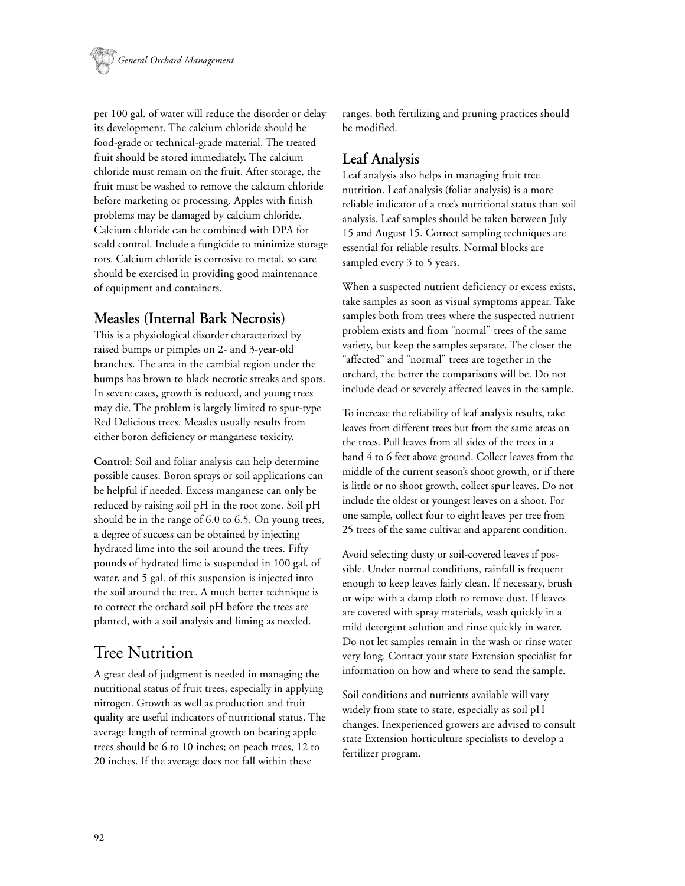

per 100 gal. of water will reduce the disorder or delay its development. The calcium chloride should be food-grade or technical-grade material. The treated fruit should be stored immediately. The calcium chloride must remain on the fruit. After storage, the fruit must be washed to remove the calcium chloride before marketing or processing. Apples with finish problems may be damaged by calcium chloride. Calcium chloride can be combined with DPA for scald control. Include a fungicide to minimize storage rots. Calcium chloride is corrosive to metal, so care should be exercised in providing good maintenance of equipment and containers.

## **Measles (Internal Bark Necrosis)**

This is a physiological disorder characterized by raised bumps or pimples on 2- and 3-year-old branches. The area in the cambial region under the bumps has brown to black necrotic streaks and spots. In severe cases, growth is reduced, and young trees may die. The problem is largely limited to spur-type Red Delicious trees. Measles usually results from either boron deficiency or manganese toxicity.

**Control:** Soil and foliar analysis can help determine possible causes. Boron sprays or soil applications can be helpful if needed. Excess manganese can only be reduced by raising soil pH in the root zone. Soil pH should be in the range of 6.0 to 6.5. On young trees, a degree of success can be obtained by injecting hydrated lime into the soil around the trees. Fifty pounds of hydrated lime is suspended in 100 gal. of water, and 5 gal. of this suspension is injected into the soil around the tree. A much better technique is to correct the orchard soil pH before the trees are planted, with a soil analysis and liming as needed.

## Tree Nutrition

A great deal of judgment is needed in managing the nutritional status of fruit trees, especially in applying nitrogen. Growth as well as production and fruit quality are useful indicators of nutritional status. The average length of terminal growth on bearing apple trees should be 6 to 10 inches; on peach trees, 12 to 20 inches. If the average does not fall within these

ranges, both fertilizing and pruning practices should be modified.

### **Leaf Analysis**

Leaf analysis also helps in managing fruit tree nutrition. Leaf analysis (foliar analysis) is a more reliable indicator of a tree's nutritional status than soil analysis. Leaf samples should be taken between July 15 and August 15. Correct sampling techniques are essential for reliable results. Normal blocks are sampled every 3 to 5 years.

When a suspected nutrient deficiency or excess exists, take samples as soon as visual symptoms appear. Take samples both from trees where the suspected nutrient problem exists and from "normal" trees of the same variety, but keep the samples separate. The closer the "affected" and "normal" trees are together in the orchard, the better the comparisons will be. Do not include dead or severely affected leaves in the sample.

To increase the reliability of leaf analysis results, take leaves from different trees but from the same areas on the trees. Pull leaves from all sides of the trees in a band 4 to 6 feet above ground. Collect leaves from the middle of the current season's shoot growth, or if there is little or no shoot growth, collect spur leaves. Do not include the oldest or youngest leaves on a shoot. For one sample, collect four to eight leaves per tree from 25 trees of the same cultivar and apparent condition.

Avoid selecting dusty or soil-covered leaves if possible. Under normal conditions, rainfall is frequent enough to keep leaves fairly clean. If necessary, brush or wipe with a damp cloth to remove dust. If leaves are covered with spray materials, wash quickly in a mild detergent solution and rinse quickly in water. Do not let samples remain in the wash or rinse water very long. Contact your state Extension specialist for information on how and where to send the sample.

Soil conditions and nutrients available will vary widely from state to state, especially as soil pH changes. Inexperienced growers are advised to consult state Extension horticulture specialists to develop a fertilizer program.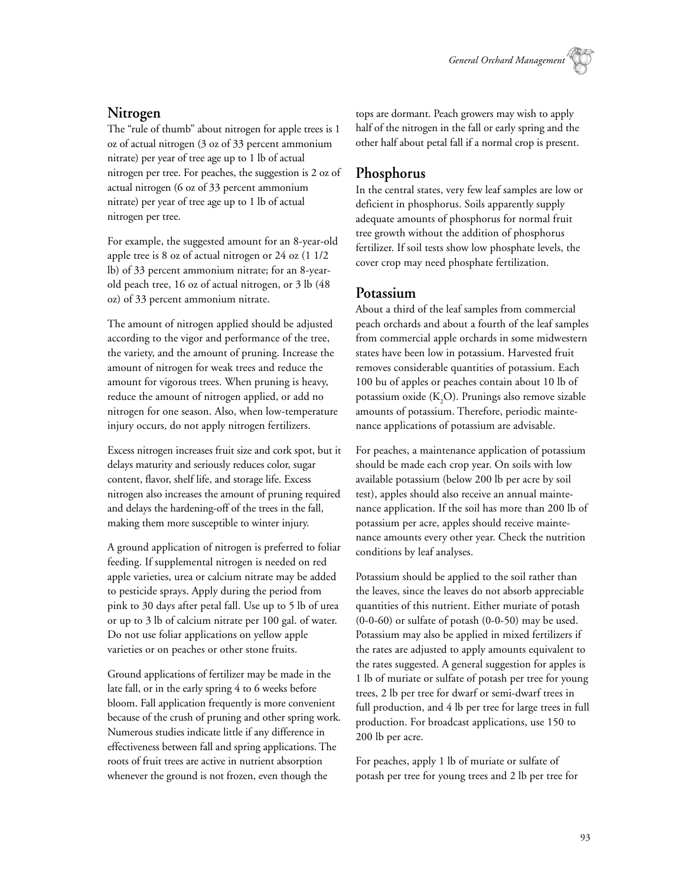### **Nitrogen**

The "rule of thumb" about nitrogen for apple trees is 1 oz of actual nitrogen (3 oz of 33 percent ammonium nitrate) per year of tree age up to 1 lb of actual nitrogen per tree. For peaches, the suggestion is 2 oz of actual nitrogen (6 oz of 33 percent ammonium nitrate) per year of tree age up to 1 lb of actual nitrogen per tree.

For example, the suggested amount for an 8-year-old apple tree is 8 oz of actual nitrogen or 24 oz (1 1/2 lb) of 33 percent ammonium nitrate; for an 8-yearold peach tree, 16 oz of actual nitrogen, or 3 lb (48 oz) of 33 percent ammonium nitrate.

The amount of nitrogen applied should be adjusted according to the vigor and performance of the tree, the variety, and the amount of pruning. Increase the amount of nitrogen for weak trees and reduce the amount for vigorous trees. When pruning is heavy, reduce the amount of nitrogen applied, or add no nitrogen for one season. Also, when low-temperature injury occurs, do not apply nitrogen fertilizers.

Excess nitrogen increases fruit size and cork spot, but it delays maturity and seriously reduces color, sugar content, flavor, shelf life, and storage life. Excess nitrogen also increases the amount of pruning required and delays the hardening-off of the trees in the fall, making them more susceptible to winter injury.

A ground application of nitrogen is preferred to foliar feeding. If supplemental nitrogen is needed on red apple varieties, urea or calcium nitrate may be added to pesticide sprays. Apply during the period from pink to 30 days after petal fall. Use up to 5 lb of urea or up to 3 lb of calcium nitrate per 100 gal. of water. Do not use foliar applications on yellow apple varieties or on peaches or other stone fruits.

Ground applications of fertilizer may be made in the late fall, or in the early spring 4 to 6 weeks before bloom. Fall application frequently is more convenient because of the crush of pruning and other spring work. Numerous studies indicate little if any difference in effectiveness between fall and spring applications. The roots of fruit trees are active in nutrient absorption whenever the ground is not frozen, even though the

tops are dormant. Peach growers may wish to apply half of the nitrogen in the fall or early spring and the other half about petal fall if a normal crop is present.

### **Phosphorus**

In the central states, very few leaf samples are low or deficient in phosphorus. Soils apparently supply adequate amounts of phosphorus for normal fruit tree growth without the addition of phosphorus fertilizer. If soil tests show low phosphate levels, the cover crop may need phosphate fertilization.

#### **Potassium**

About a third of the leaf samples from commercial peach orchards and about a fourth of the leaf samples from commercial apple orchards in some midwestern states have been low in potassium. Harvested fruit removes considerable quantities of potassium. Each 100 bu of apples or peaches contain about 10 lb of potassium oxide (K<sub>2</sub>O). Prunings also remove sizable amounts of potassium. Therefore, periodic maintenance applications of potassium are advisable.

For peaches, a maintenance application of potassium should be made each crop year. On soils with low available potassium (below 200 lb per acre by soil test), apples should also receive an annual maintenance application. If the soil has more than 200 lb of potassium per acre, apples should receive maintenance amounts every other year. Check the nutrition conditions by leaf analyses.

Potassium should be applied to the soil rather than the leaves, since the leaves do not absorb appreciable quantities of this nutrient. Either muriate of potash (0-0-60) or sulfate of potash (0-0-50) may be used. Potassium may also be applied in mixed fertilizers if the rates are adjusted to apply amounts equivalent to the rates suggested. A general suggestion for apples is 1 lb of muriate or sulfate of potash per tree for young trees, 2 lb per tree for dwarf or semi-dwarf trees in full production, and 4 lb per tree for large trees in full production. For broadcast applications, use 150 to 200 lb per acre.

For peaches, apply 1 lb of muriate or sulfate of potash per tree for young trees and 2 lb per tree for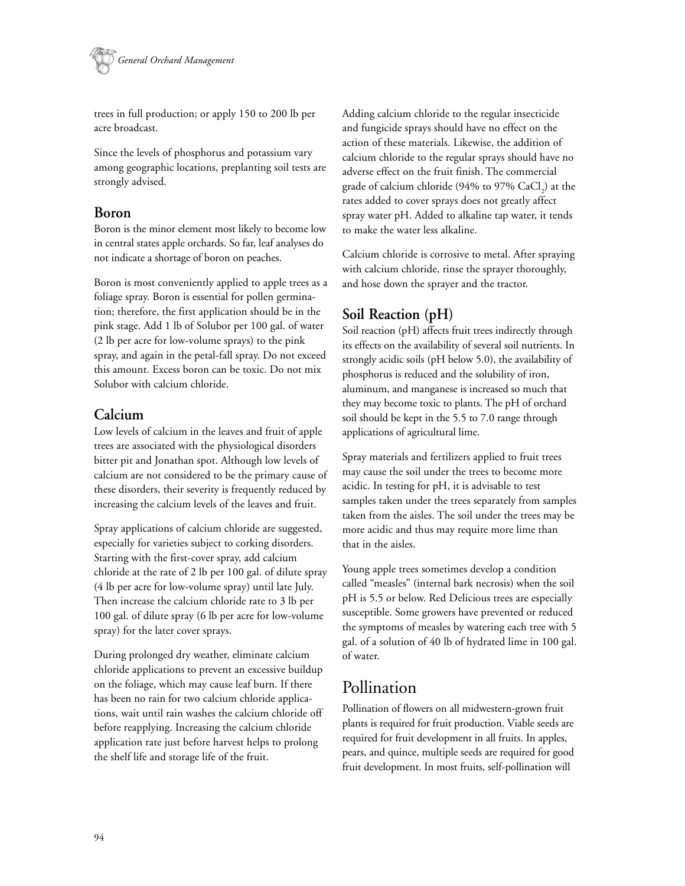

trees in full production; or apply 150 to 200 lb per acre broadcast.

Since the levels of phosphorus and potassium vary among geographic locations, preplanting soil tests are strongly advised.

#### **Boron**

Boron is the minor element most likely to become low in central states apple orchards. So far, leaf analyses do not indicate a shortage of boron on peaches.

Boron is most conveniently applied to apple trees as a foliage spray. Boron is essential for pollen germination; therefore, the first application should be in the pink stage. Add 1 lb of Solubor per 100 gal. of water (2 lb per acre for low-volume sprays) to the pink spray, and again in the petal-fall spray. Do not exceed this amount. Excess boron can be toxic. Do not mix Solubor with calcium chloride.

### **Calcium**

Low levels of calcium in the leaves and fruit of apple trees are associated with the physiological disorders bitter pit and Jonathan spot. Although low levels of calcium are not considered to be the primary cause of these disorders, their severity is frequently reduced by increasing the calcium levels of the leaves and fruit.

Spray applications of calcium chloride are suggested, especially for varieties subject to corking disorders. Starting with the first-cover spray, add calcium chloride at the rate of 2 lb per 100 gal. of dilute spray (4 lb per acre for low-volume spray) until late July. Then increase the calcium chloride rate to 3 lb per 100 gal. of dilute spray (6 lb per acre for low-volume spray) for the later cover sprays.

During prolonged dry weather, eliminate calcium chloride applications to prevent an excessive buildup on the foliage, which may cause leaf burn. If there has been no rain for two calcium chloride applications, wait until rain washes the calcium chloride off before reapplying. Increasing the calcium chloride application rate just before harvest helps to prolong the shelf life and storage life of the fruit.

Adding calcium chloride to the regular insecticide and fungicide sprays should have no effect on the action of these materials. Likewise, the addition of calcium chloride to the regular sprays should have no adverse effect on the fruit finish. The commercial grade of calcium chloride (94% to 97%  $\rm CaCl_2^{}$ ) at the rates added to cover sprays does not greatly affect spray water pH. Added to alkaline tap water, it tends to make the water less alkaline.

Calcium chloride is corrosive to metal. After spraying with calcium chloride, rinse the sprayer thoroughly, and hose down the sprayer and the tractor.

## **Soil Reaction (pH)**

Soil reaction (pH) affects fruit trees indirectly through its effects on the availability of several soil nutrients. In strongly acidic soils (pH below 5.0), the availability of phosphorus is reduced and the solubility of iron, aluminum, and manganese is increased so much that they may become toxic to plants. The pH of orchard soil should be kept in the 5.5 to 7.0 range through applications of agricultural lime.

Spray materials and fertilizers applied to fruit trees may cause the soil under the trees to become more acidic. In testing for pH, it is advisable to test samples taken under the trees separately from samples taken from the aisles. The soil under the trees may be more acidic and thus may require more lime than that in the aisles.

Young apple trees sometimes develop a condition called "measles" (internal bark necrosis) when the soil pH is 5.5 or below. Red Delicious trees are especially susceptible. Some growers have prevented or reduced the symptoms of measles by watering each tree with 5 gal. of a solution of 40 lb of hydrated lime in 100 gal. of water.

## Pollination

Pollination of flowers on all midwestern-grown fruit plants is required for fruit production. Viable seeds are required for fruit development in all fruits. In apples, pears, and quince, multiple seeds are required for good fruit development. In most fruits, self-pollination will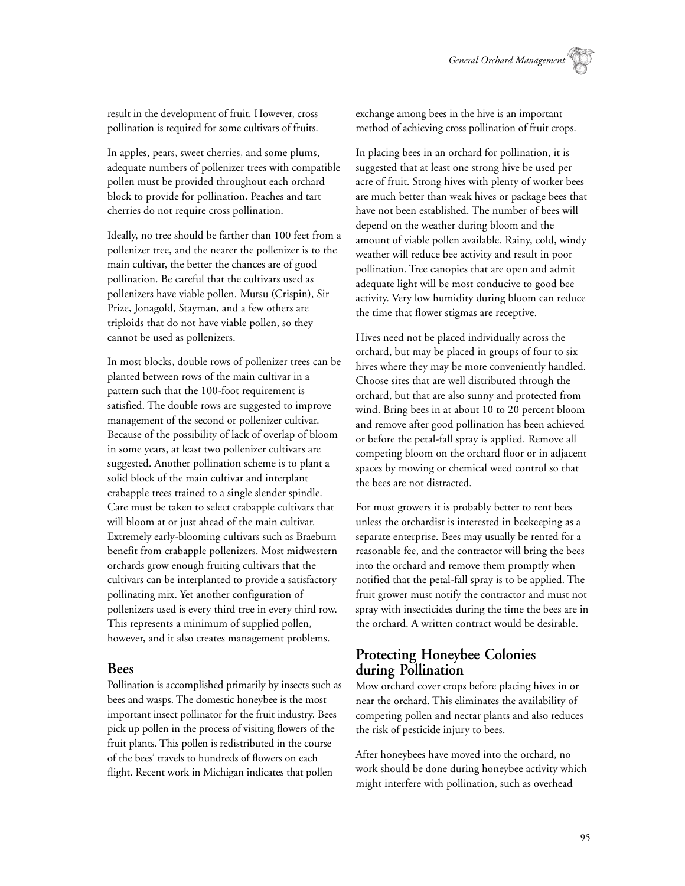result in the development of fruit. However, cross pollination is required for some cultivars of fruits.

In apples, pears, sweet cherries, and some plums, adequate numbers of pollenizer trees with compatible pollen must be provided throughout each orchard block to provide for pollination. Peaches and tart cherries do not require cross pollination.

Ideally, no tree should be farther than 100 feet from a pollenizer tree, and the nearer the pollenizer is to the main cultivar, the better the chances are of good pollination. Be careful that the cultivars used as pollenizers have viable pollen. Mutsu (Crispin), Sir Prize, Jonagold, Stayman, and a few others are triploids that do not have viable pollen, so they cannot be used as pollenizers.

In most blocks, double rows of pollenizer trees can be planted between rows of the main cultivar in a pattern such that the 100-foot requirement is satisfied. The double rows are suggested to improve management of the second or pollenizer cultivar. Because of the possibility of lack of overlap of bloom in some years, at least two pollenizer cultivars are suggested. Another pollination scheme is to plant a solid block of the main cultivar and interplant crabapple trees trained to a single slender spindle. Care must be taken to select crabapple cultivars that will bloom at or just ahead of the main cultivar. Extremely early-blooming cultivars such as Braeburn benefit from crabapple pollenizers. Most midwestern orchards grow enough fruiting cultivars that the cultivars can be interplanted to provide a satisfactory pollinating mix. Yet another configuration of pollenizers used is every third tree in every third row. This represents a minimum of supplied pollen, however, and it also creates management problems.

#### **Bees**

Pollination is accomplished primarily by insects such as bees and wasps. The domestic honeybee is the most important insect pollinator for the fruit industry. Bees pick up pollen in the process of visiting flowers of the fruit plants. This pollen is redistributed in the course of the bees' travels to hundreds of flowers on each flight. Recent work in Michigan indicates that pollen

exchange among bees in the hive is an important method of achieving cross pollination of fruit crops.

In placing bees in an orchard for pollination, it is suggested that at least one strong hive be used per acre of fruit. Strong hives with plenty of worker bees are much better than weak hives or package bees that have not been established. The number of bees will depend on the weather during bloom and the amount of viable pollen available. Rainy, cold, windy weather will reduce bee activity and result in poor pollination. Tree canopies that are open and admit adequate light will be most conducive to good bee activity. Very low humidity during bloom can reduce the time that flower stigmas are receptive.

Hives need not be placed individually across the orchard, but may be placed in groups of four to six hives where they may be more conveniently handled. Choose sites that are well distributed through the orchard, but that are also sunny and protected from wind. Bring bees in at about 10 to 20 percent bloom and remove after good pollination has been achieved or before the petal-fall spray is applied. Remove all competing bloom on the orchard floor or in adjacent spaces by mowing or chemical weed control so that the bees are not distracted.

For most growers it is probably better to rent bees unless the orchardist is interested in beekeeping as a separate enterprise. Bees may usually be rented for a reasonable fee, and the contractor will bring the bees into the orchard and remove them promptly when notified that the petal-fall spray is to be applied. The fruit grower must notify the contractor and must not spray with insecticides during the time the bees are in the orchard. A written contract would be desirable.

### **Protecting Honeybee Colonies during Pollination**

Mow orchard cover crops before placing hives in or near the orchard. This eliminates the availability of competing pollen and nectar plants and also reduces the risk of pesticide injury to bees.

After honeybees have moved into the orchard, no work should be done during honeybee activity which might interfere with pollination, such as overhead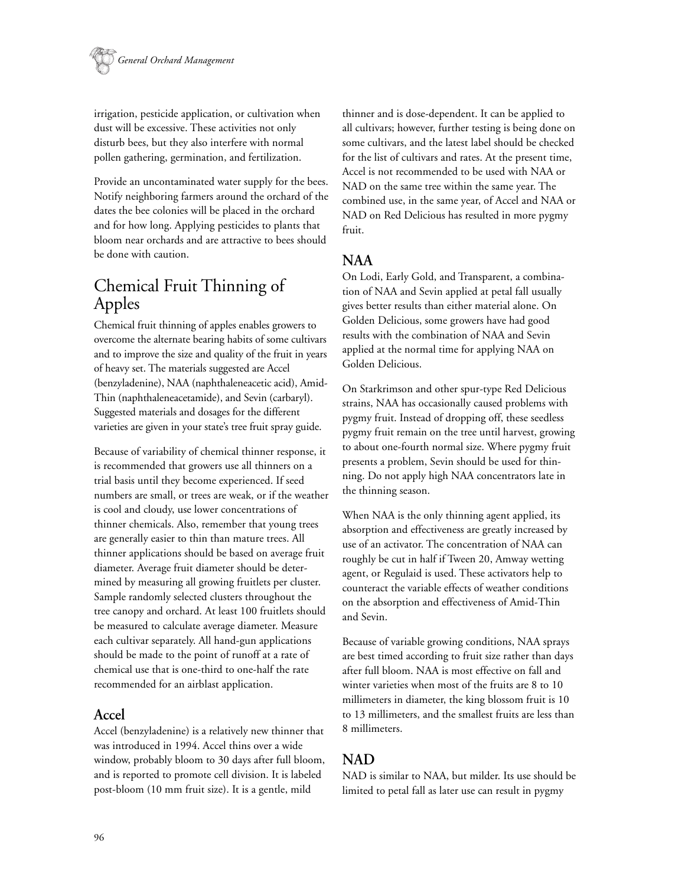

irrigation, pesticide application, or cultivation when dust will be excessive. These activities not only disturb bees, but they also interfere with normal pollen gathering, germination, and fertilization.

Provide an uncontaminated water supply for the bees. Notify neighboring farmers around the orchard of the dates the bee colonies will be placed in the orchard and for how long. Applying pesticides to plants that bloom near orchards and are attractive to bees should be done with caution.

## Chemical Fruit Thinning of Apples

Chemical fruit thinning of apples enables growers to overcome the alternate bearing habits of some cultivars and to improve the size and quality of the fruit in years of heavy set. The materials suggested are Accel (benzyladenine), NAA (naphthaleneacetic acid), Amid-Thin (naphthaleneacetamide), and Sevin (carbaryl). Suggested materials and dosages for the different varieties are given in your state's tree fruit spray guide.

Because of variability of chemical thinner response, it is recommended that growers use all thinners on a trial basis until they become experienced. If seed numbers are small, or trees are weak, or if the weather is cool and cloudy, use lower concentrations of thinner chemicals. Also, remember that young trees are generally easier to thin than mature trees. All thinner applications should be based on average fruit diameter. Average fruit diameter should be determined by measuring all growing fruitlets per cluster. Sample randomly selected clusters throughout the tree canopy and orchard. At least 100 fruitlets should be measured to calculate average diameter. Measure each cultivar separately. All hand-gun applications should be made to the point of runoff at a rate of chemical use that is one-third to one-half the rate recommended for an airblast application.

#### **Accel**

Accel (benzyladenine) is a relatively new thinner that was introduced in 1994. Accel thins over a wide window, probably bloom to 30 days after full bloom, and is reported to promote cell division. It is labeled post-bloom (10 mm fruit size). It is a gentle, mild

thinner and is dose-dependent. It can be applied to all cultivars; however, further testing is being done on some cultivars, and the latest label should be checked for the list of cultivars and rates. At the present time, Accel is not recommended to be used with NAA or NAD on the same tree within the same year. The combined use, in the same year, of Accel and NAA or NAD on Red Delicious has resulted in more pygmy fruit.

#### **NAA**

On Lodi, Early Gold, and Transparent, a combination of NAA and Sevin applied at petal fall usually gives better results than either material alone. On Golden Delicious, some growers have had good results with the combination of NAA and Sevin applied at the normal time for applying NAA on Golden Delicious.

On Starkrimson and other spur-type Red Delicious strains, NAA has occasionally caused problems with pygmy fruit. Instead of dropping off, these seedless pygmy fruit remain on the tree until harvest, growing to about one-fourth normal size. Where pygmy fruit presents a problem, Sevin should be used for thinning. Do not apply high NAA concentrators late in the thinning season.

When NAA is the only thinning agent applied, its absorption and effectiveness are greatly increased by use of an activator. The concentration of NAA can roughly be cut in half if Tween 20, Amway wetting agent, or Regulaid is used. These activators help to counteract the variable effects of weather conditions on the absorption and effectiveness of Amid-Thin and Sevin.

Because of variable growing conditions, NAA sprays are best timed according to fruit size rather than days after full bloom. NAA is most effective on fall and winter varieties when most of the fruits are 8 to 10 millimeters in diameter, the king blossom fruit is 10 to 13 millimeters, and the smallest fruits are less than 8 millimeters.

### **NAD**

NAD is similar to NAA, but milder. Its use should be limited to petal fall as later use can result in pygmy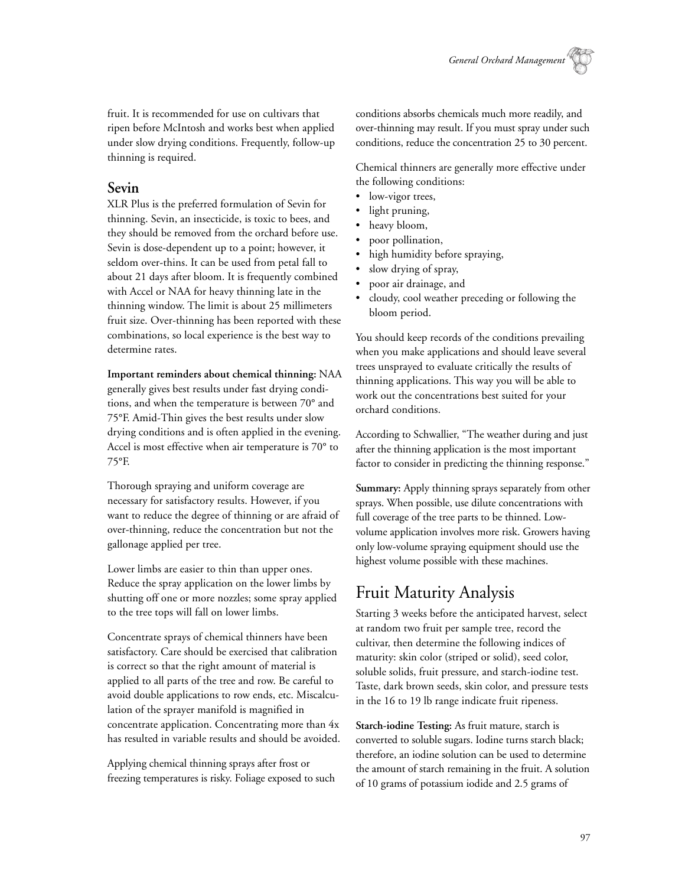fruit. It is recommended for use on cultivars that ripen before McIntosh and works best when applied under slow drying conditions. Frequently, follow-up thinning is required.

#### **Sevin**

XLR Plus is the preferred formulation of Sevin for thinning. Sevin, an insecticide, is toxic to bees, and they should be removed from the orchard before use. Sevin is dose-dependent up to a point; however, it seldom over-thins. It can be used from petal fall to about 21 days after bloom. It is frequently combined with Accel or NAA for heavy thinning late in the thinning window. The limit is about 25 millimeters fruit size. Over-thinning has been reported with these combinations, so local experience is the best way to determine rates.

**Important reminders about chemical thinning:** NAA generally gives best results under fast drying conditions, and when the temperature is between 70° and 75°F. Amid-Thin gives the best results under slow drying conditions and is often applied in the evening. Accel is most effective when air temperature is 70° to 75°F.

Thorough spraying and uniform coverage are necessary for satisfactory results. However, if you want to reduce the degree of thinning or are afraid of over-thinning, reduce the concentration but not the gallonage applied per tree.

Lower limbs are easier to thin than upper ones. Reduce the spray application on the lower limbs by shutting off one or more nozzles; some spray applied to the tree tops will fall on lower limbs.

Concentrate sprays of chemical thinners have been satisfactory. Care should be exercised that calibration is correct so that the right amount of material is applied to all parts of the tree and row. Be careful to avoid double applications to row ends, etc. Miscalculation of the sprayer manifold is magnified in concentrate application. Concentrating more than 4x has resulted in variable results and should be avoided.

Applying chemical thinning sprays after frost or freezing temperatures is risky. Foliage exposed to such conditions absorbs chemicals much more readily, and over-thinning may result. If you must spray under such conditions, reduce the concentration 25 to 30 percent.

Chemical thinners are generally more effective under the following conditions:

- low-vigor trees,
- light pruning,
- heavy bloom,
- poor pollination,
- high humidity before spraying,
- slow drying of spray,
- poor air drainage, and
- cloudy, cool weather preceding or following the bloom period.

You should keep records of the conditions prevailing when you make applications and should leave several trees unsprayed to evaluate critically the results of thinning applications. This way you will be able to work out the concentrations best suited for your orchard conditions.

According to Schwallier, "The weather during and just after the thinning application is the most important factor to consider in predicting the thinning response."

**Summary:** Apply thinning sprays separately from other sprays. When possible, use dilute concentrations with full coverage of the tree parts to be thinned. Lowvolume application involves more risk. Growers having only low-volume spraying equipment should use the highest volume possible with these machines.

## Fruit Maturity Analysis

Starting 3 weeks before the anticipated harvest, select at random two fruit per sample tree, record the cultivar, then determine the following indices of maturity: skin color (striped or solid), seed color, soluble solids, fruit pressure, and starch-iodine test. Taste, dark brown seeds, skin color, and pressure tests in the 16 to 19 lb range indicate fruit ripeness.

**Starch-iodine Testing:** As fruit mature, starch is converted to soluble sugars. Iodine turns starch black; therefore, an iodine solution can be used to determine the amount of starch remaining in the fruit. A solution of 10 grams of potassium iodide and 2.5 grams of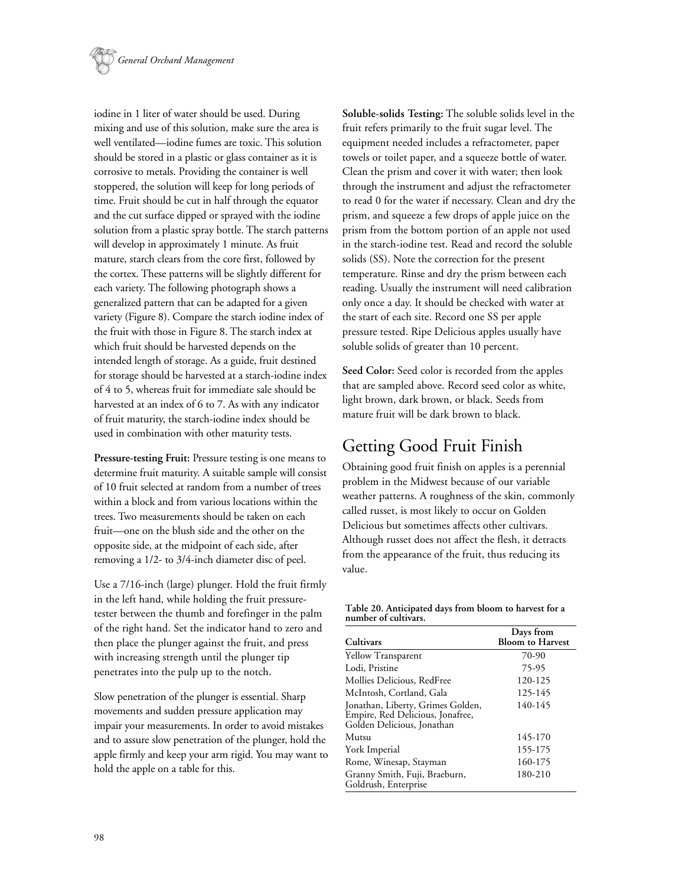

iodine in 1 liter of water should be used. During mixing and use of this solution, make sure the area is well ventilated—iodine fumes are toxic. This solution should be stored in a plastic or glass container as it is corrosive to metals. Providing the container is well stoppered, the solution will keep for long periods of time. Fruit should be cut in half through the equator and the cut surface dipped or sprayed with the iodine solution from a plastic spray bottle. The starch patterns will develop in approximately 1 minute. As fruit mature, starch clears from the core first, followed by the cortex. These patterns will be slightly different for each variety. The following photograph shows a generalized pattern that can be adapted for a given variety (Figure 8). Compare the starch iodine index of the fruit with those in Figure 8. The starch index at which fruit should be harvested depends on the intended length of storage. As a guide, fruit destined for storage should be harvested at a starch-iodine index of 4 to 5, whereas fruit for immediate sale should be harvested at an index of 6 to 7. As with any indicator of fruit maturity, the starch-iodine index should be used in combination with other maturity tests.

**Pressure-testing Fruit:** Pressure testing is one means to determine fruit maturity. A suitable sample will consist of 10 fruit selected at random from a number of trees within a block and from various locations within the trees. Two measurements should be taken on each fruit—one on the blush side and the other on the opposite side, at the midpoint of each side, after removing a 1/2- to 3/4-inch diameter disc of peel.

Use a 7/16-inch (large) plunger. Hold the fruit firmly in the left hand, while holding the fruit pressuretester between the thumb and forefinger in the palm of the right hand. Set the indicator hand to zero and then place the plunger against the fruit, and press with increasing strength until the plunger tip penetrates into the pulp up to the notch.

Slow penetration of the plunger is essential. Sharp movements and sudden pressure application may impair your measurements. In order to avoid mistakes and to assure slow penetration of the plunger, hold the apple firmly and keep your arm rigid. You may want to hold the apple on a table for this.

**Soluble-solids Testing:** The soluble solids level in the fruit refers primarily to the fruit sugar level. The equipment needed includes a refractometer, paper towels or toilet paper, and a squeeze bottle of water. Clean the prism and cover it with water; then look through the instrument and adjust the refractometer to read 0 for the water if necessary. Clean and dry the prism, and squeeze a few drops of apple juice on the prism from the bottom portion of an apple not used in the starch-iodine test. Read and record the soluble solids (SS). Note the correction for the present temperature. Rinse and dry the prism between each reading. Usually the instrument will need calibration only once a day. It should be checked with water at the start of each site. Record one SS per apple pressure tested. Ripe Delicious apples usually have soluble solids of greater than 10 percent.

**Seed Color:** Seed color is recorded from the apples that are sampled above. Record seed color as white, light brown, dark brown, or black. Seeds from mature fruit will be dark brown to black.

## Getting Good Fruit Finish

Obtaining good fruit finish on apples is a perennial problem in the Midwest because of our variable weather patterns. A roughness of the skin, commonly called russet, is most likely to occur on Golden Delicious but sometimes affects other cultivars. Although russet does not affect the flesh, it detracts from the appearance of the fruit, thus reducing its value.

| Table 20. Anticipated days from bloom to harvest for a |  |  |
|--------------------------------------------------------|--|--|
| number of cultivars.                                   |  |  |

| Cultivars                                                                                           | Days from<br><b>Bloom to Harvest</b> |  |
|-----------------------------------------------------------------------------------------------------|--------------------------------------|--|
| Yellow Transparent                                                                                  | 70-90                                |  |
| Lodi, Pristine                                                                                      | 75-95                                |  |
| Mollies Delicious, RedFree                                                                          | 120-125                              |  |
| McIntosh, Cortland, Gala                                                                            | 125-145                              |  |
| Jonathan, Liberty, Grimes Golden,<br>Empire, Red Delicious, Jonafree,<br>Golden Delicious, Jonathan | 140-145                              |  |
| Mutsu                                                                                               | 145-170                              |  |
| York Imperial                                                                                       | 155-175                              |  |
| Rome, Winesap, Stayman                                                                              | 160-175                              |  |
| Granny Smith, Fuji, Braeburn,<br>Goldrush, Enterprise                                               | 180-210                              |  |